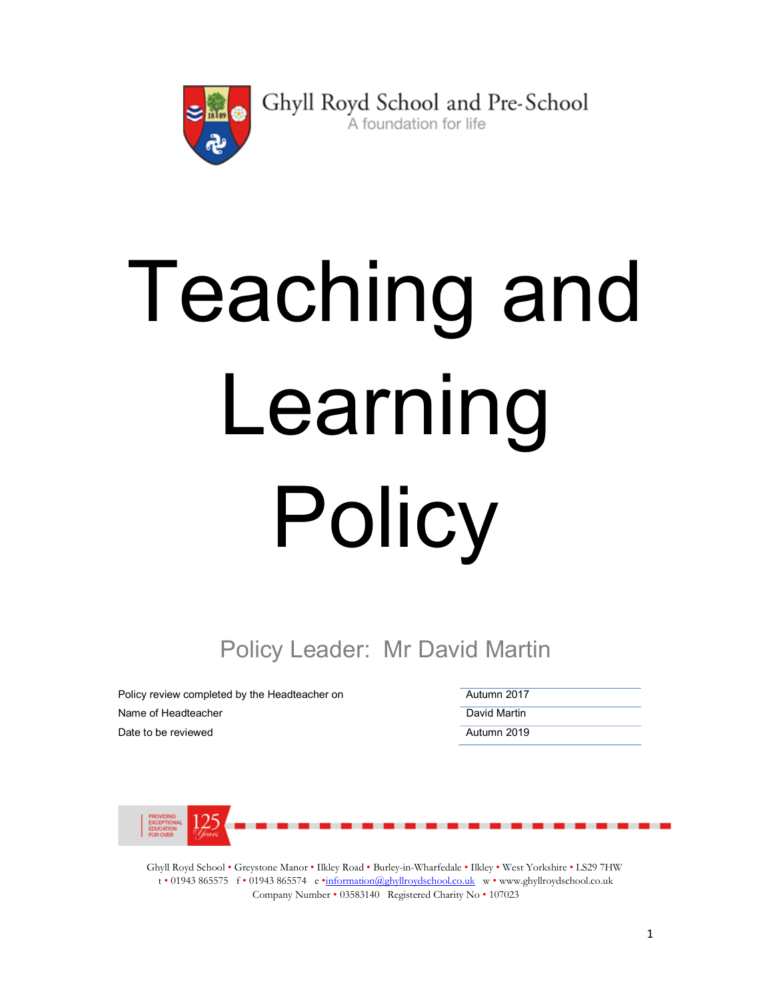

Ghyll Royd School and Pre-School A foundation for life

# Teaching and Learning Policy

Policy Leader: Mr David Martin

Policy review completed by the Headteacher on Theorem 2017 Name of Headteacher David Martin Date to be reviewed **Autumn 2019 Date to be reviewed** 



Ghyll Royd School • Greystone Manor • Ilkley Road • Burley-in-Wharfedale • Ilkley • West Yorkshire • LS29 7HW t • 01943 865575 f • 01943 865574 e •information@ghyllroydschool.co.uk w • www.ghyllroydschool.co.uk Company Number • 03583140 Registered Charity No • 107023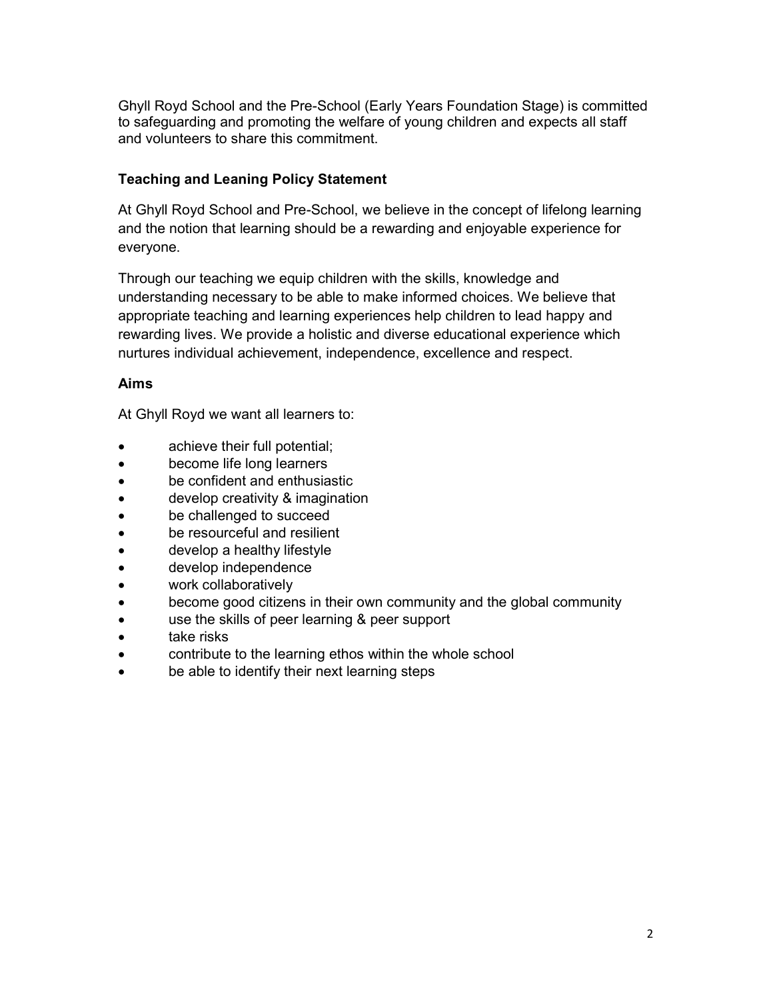Ghyll Royd School and the Pre-School (Early Years Foundation Stage) is committed to safeguarding and promoting the welfare of young children and expects all staff and volunteers to share this commitment.

### Teaching and Leaning Policy Statement

At Ghyll Royd School and Pre-School, we believe in the concept of lifelong learning and the notion that learning should be a rewarding and enjoyable experience for everyone.

Through our teaching we equip children with the skills, knowledge and understanding necessary to be able to make informed choices. We believe that appropriate teaching and learning experiences help children to lead happy and rewarding lives. We provide a holistic and diverse educational experience which nurtures individual achievement, independence, excellence and respect.

### Aims

At Ghyll Royd we want all learners to:

- achieve their full potential;
- become life long learners
- be confident and enthusiastic
- develop creativity & imagination
- be challenged to succeed
- be resourceful and resilient
- develop a healthy lifestyle
- develop independence
- work collaboratively
- become good citizens in their own community and the global community
- use the skills of peer learning & peer support
- take risks
- contribute to the learning ethos within the whole school
- be able to identify their next learning steps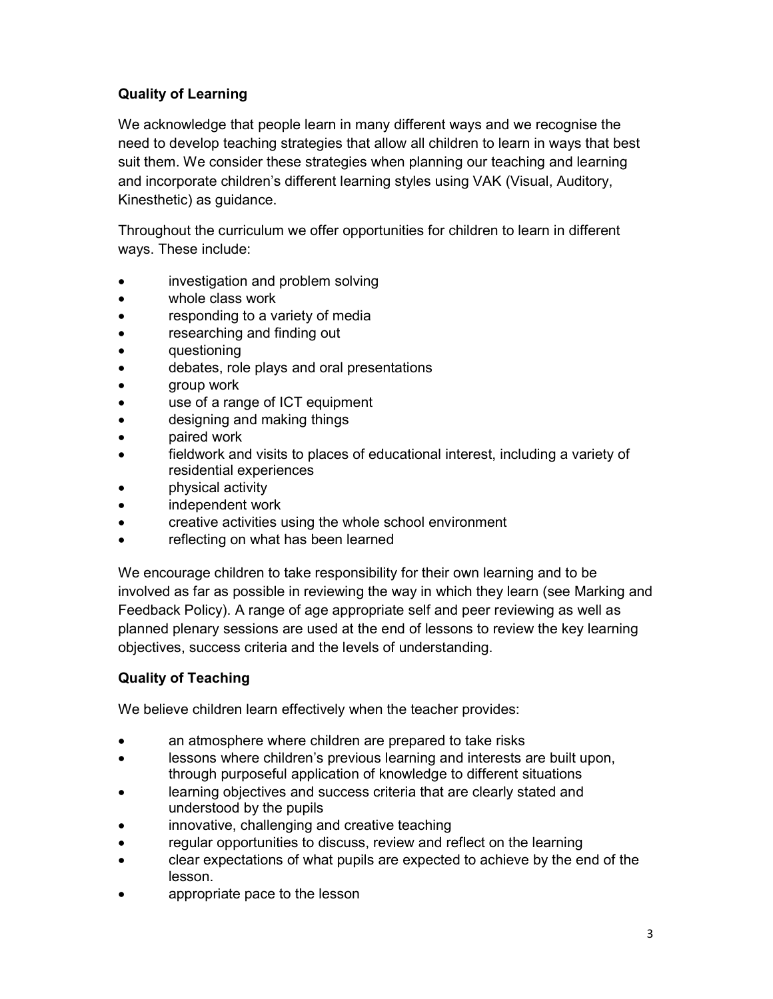# Quality of Learning

We acknowledge that people learn in many different ways and we recognise the need to develop teaching strategies that allow all children to learn in ways that best suit them. We consider these strategies when planning our teaching and learning and incorporate children's different learning styles using VAK (Visual, Auditory, Kinesthetic) as guidance.

Throughout the curriculum we offer opportunities for children to learn in different ways. These include:

- investigation and problem solving
- whole class work
- responding to a variety of media
- researching and finding out
- questioning
- debates, role plays and oral presentations
- group work
- use of a range of ICT equipment
- designing and making things
- paired work
- fieldwork and visits to places of educational interest, including a variety of residential experiences
- **physical activity**
- independent work
- creative activities using the whole school environment
- reflecting on what has been learned

We encourage children to take responsibility for their own learning and to be involved as far as possible in reviewing the way in which they learn (see Marking and Feedback Policy). A range of age appropriate self and peer reviewing as well as planned plenary sessions are used at the end of lessons to review the key learning objectives, success criteria and the levels of understanding.

# Quality of Teaching

We believe children learn effectively when the teacher provides:

- an atmosphere where children are prepared to take risks
- lessons where children's previous learning and interests are built upon, through purposeful application of knowledge to different situations
- learning objectives and success criteria that are clearly stated and understood by the pupils
- innovative, challenging and creative teaching
- regular opportunities to discuss, review and reflect on the learning
- clear expectations of what pupils are expected to achieve by the end of the lesson.
- appropriate pace to the lesson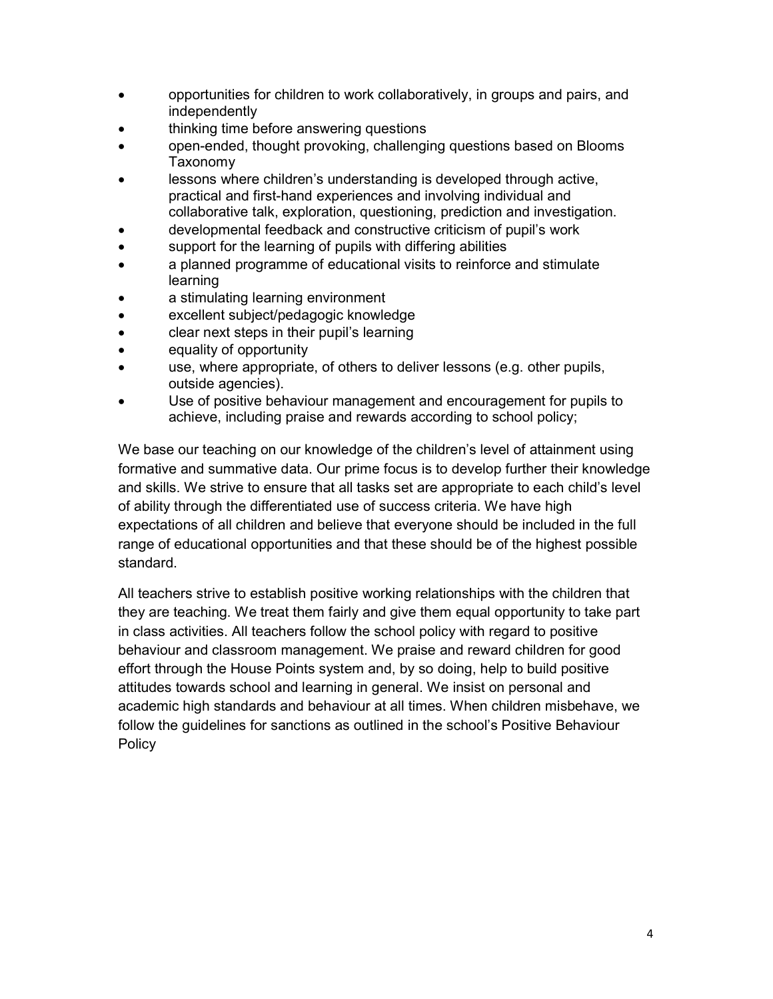- opportunities for children to work collaboratively, in groups and pairs, and independently
- thinking time before answering questions
- open-ended, thought provoking, challenging questions based on Blooms Taxonomy
- lessons where children's understanding is developed through active, practical and first-hand experiences and involving individual and collaborative talk, exploration, questioning, prediction and investigation.
- developmental feedback and constructive criticism of pupil's work
- support for the learning of pupils with differing abilities
- a planned programme of educational visits to reinforce and stimulate learning
- a stimulating learning environment
- excellent subject/pedagogic knowledge
- clear next steps in their pupil's learning
- equality of opportunity
- use, where appropriate, of others to deliver lessons (e.g. other pupils, outside agencies).
- Use of positive behaviour management and encouragement for pupils to achieve, including praise and rewards according to school policy;

We base our teaching on our knowledge of the children's level of attainment using formative and summative data. Our prime focus is to develop further their knowledge and skills. We strive to ensure that all tasks set are appropriate to each child's level of ability through the differentiated use of success criteria. We have high expectations of all children and believe that everyone should be included in the full range of educational opportunities and that these should be of the highest possible standard.

All teachers strive to establish positive working relationships with the children that they are teaching. We treat them fairly and give them equal opportunity to take part in class activities. All teachers follow the school policy with regard to positive behaviour and classroom management. We praise and reward children for good effort through the House Points system and, by so doing, help to build positive attitudes towards school and learning in general. We insist on personal and academic high standards and behaviour at all times. When children misbehave, we follow the guidelines for sanctions as outlined in the school's Positive Behaviour **Policy**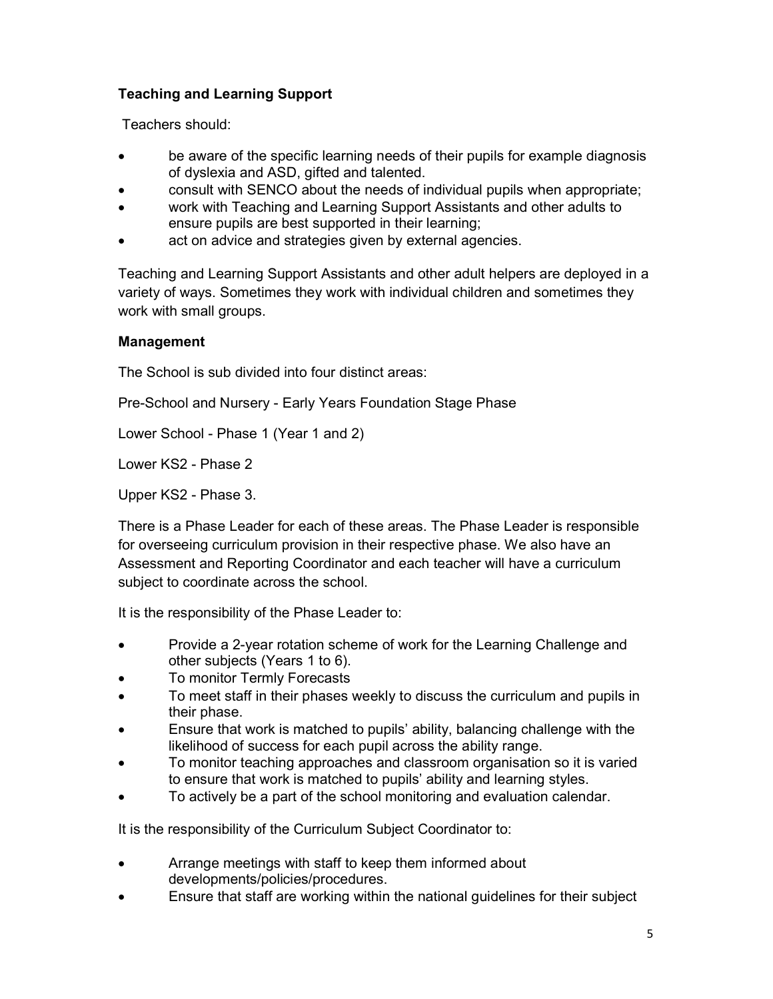# Teaching and Learning Support

Teachers should:

- be aware of the specific learning needs of their pupils for example diagnosis of dyslexia and ASD, gifted and talented.
- consult with SENCO about the needs of individual pupils when appropriate;
- work with Teaching and Learning Support Assistants and other adults to ensure pupils are best supported in their learning;
- act on advice and strategies given by external agencies.

Teaching and Learning Support Assistants and other adult helpers are deployed in a variety of ways. Sometimes they work with individual children and sometimes they work with small groups.

### Management

The School is sub divided into four distinct areas:

Pre-School and Nursery - Early Years Foundation Stage Phase

Lower School - Phase 1 (Year 1 and 2)

Lower KS2 - Phase 2

Upper KS2 - Phase 3.

There is a Phase Leader for each of these areas. The Phase Leader is responsible for overseeing curriculum provision in their respective phase. We also have an Assessment and Reporting Coordinator and each teacher will have a curriculum subject to coordinate across the school.

It is the responsibility of the Phase Leader to:

- Provide a 2-year rotation scheme of work for the Learning Challenge and other subjects (Years 1 to 6).
- To monitor Termly Forecasts
- To meet staff in their phases weekly to discuss the curriculum and pupils in their phase.
- Ensure that work is matched to pupils' ability, balancing challenge with the likelihood of success for each pupil across the ability range.
- To monitor teaching approaches and classroom organisation so it is varied to ensure that work is matched to pupils' ability and learning styles.
- To actively be a part of the school monitoring and evaluation calendar.

It is the responsibility of the Curriculum Subject Coordinator to:

- Arrange meetings with staff to keep them informed about developments/policies/procedures.
- Ensure that staff are working within the national guidelines for their subject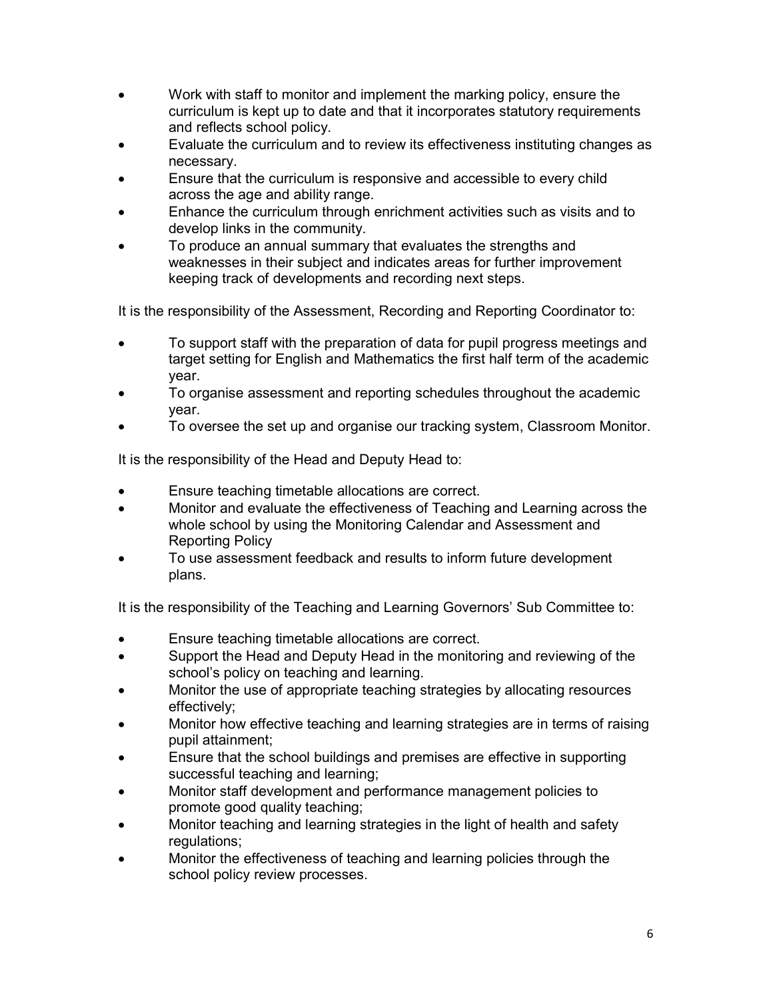- Work with staff to monitor and implement the marking policy, ensure the curriculum is kept up to date and that it incorporates statutory requirements and reflects school policy.
- Evaluate the curriculum and to review its effectiveness instituting changes as necessary.
- Ensure that the curriculum is responsive and accessible to every child across the age and ability range.
- Enhance the curriculum through enrichment activities such as visits and to develop links in the community.
- To produce an annual summary that evaluates the strengths and weaknesses in their subject and indicates areas for further improvement keeping track of developments and recording next steps.

It is the responsibility of the Assessment, Recording and Reporting Coordinator to:

- To support staff with the preparation of data for pupil progress meetings and target setting for English and Mathematics the first half term of the academic year.
- To organise assessment and reporting schedules throughout the academic year.
- To oversee the set up and organise our tracking system, Classroom Monitor.

It is the responsibility of the Head and Deputy Head to:

- Ensure teaching timetable allocations are correct.
- Monitor and evaluate the effectiveness of Teaching and Learning across the whole school by using the Monitoring Calendar and Assessment and Reporting Policy
- To use assessment feedback and results to inform future development plans.

It is the responsibility of the Teaching and Learning Governors' Sub Committee to:

- Ensure teaching timetable allocations are correct.
- Support the Head and Deputy Head in the monitoring and reviewing of the school's policy on teaching and learning.
- Monitor the use of appropriate teaching strategies by allocating resources effectively;
- Monitor how effective teaching and learning strategies are in terms of raising pupil attainment;
- Ensure that the school buildings and premises are effective in supporting successful teaching and learning;
- Monitor staff development and performance management policies to promote good quality teaching;
- Monitor teaching and learning strategies in the light of health and safety regulations;
- Monitor the effectiveness of teaching and learning policies through the school policy review processes.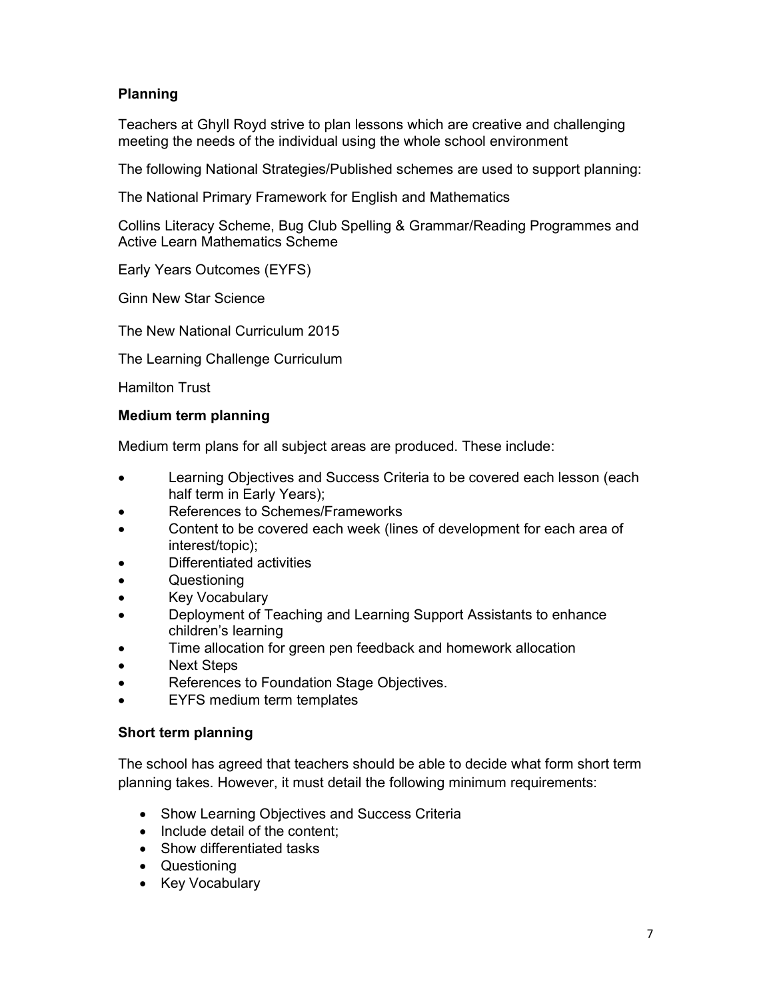# Planning

Teachers at Ghyll Royd strive to plan lessons which are creative and challenging meeting the needs of the individual using the whole school environment

The following National Strategies/Published schemes are used to support planning:

The National Primary Framework for English and Mathematics

Collins Literacy Scheme, Bug Club Spelling & Grammar/Reading Programmes and Active Learn Mathematics Scheme

Early Years Outcomes (EYFS)

Ginn New Star Science

The New National Curriculum 2015

The Learning Challenge Curriculum

Hamilton Trust

### Medium term planning

Medium term plans for all subject areas are produced. These include:

- **EXECT:** Learning Objectives and Success Criteria to be covered each lesson (each half term in Early Years);
- References to Schemes/Frameworks
- Content to be covered each week (lines of development for each area of interest/topic);
- Differentiated activities
- Questioning
- Key Vocabulary
- Deployment of Teaching and Learning Support Assistants to enhance children's learning
- Time allocation for green pen feedback and homework allocation
- Next Steps
- References to Foundation Stage Objectives.
- EYFS medium term templates

### Short term planning

The school has agreed that teachers should be able to decide what form short term planning takes. However, it must detail the following minimum requirements:

- Show Learning Objectives and Success Criteria
- Include detail of the content;
- Show differentiated tasks
- Questioning
- Key Vocabulary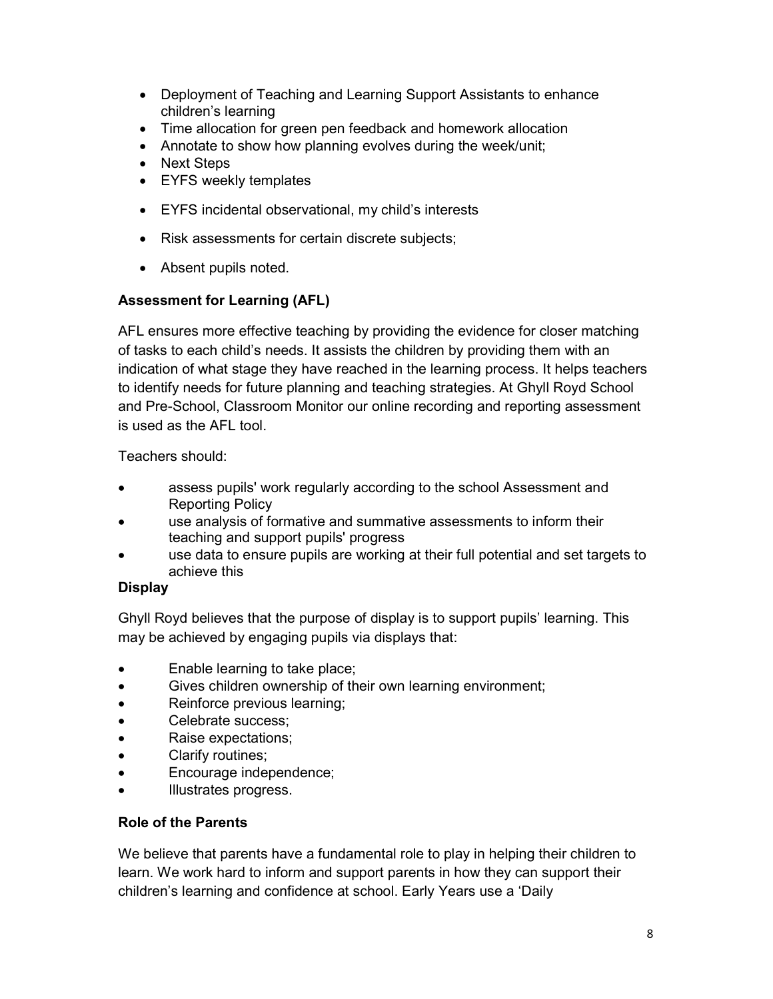- Deployment of Teaching and Learning Support Assistants to enhance children's learning
- Time allocation for green pen feedback and homework allocation
- Annotate to show how planning evolves during the week/unit;
- Next Steps
- EYFS weekly templates
- EYFS incidental observational, my child's interests
- Risk assessments for certain discrete subjects;
- Absent pupils noted.

### Assessment for Learning (AFL)

AFL ensures more effective teaching by providing the evidence for closer matching of tasks to each child's needs. It assists the children by providing them with an indication of what stage they have reached in the learning process. It helps teachers to identify needs for future planning and teaching strategies. At Ghyll Royd School and Pre-School, Classroom Monitor our online recording and reporting assessment is used as the AFL tool.

Teachers should:

- assess pupils' work regularly according to the school Assessment and Reporting Policy
- use analysis of formative and summative assessments to inform their teaching and support pupils' progress
- use data to ensure pupils are working at their full potential and set targets to achieve this

# **Display**

Ghyll Royd believes that the purpose of display is to support pupils' learning. This may be achieved by engaging pupils via displays that:

- Enable learning to take place;
- Gives children ownership of their own learning environment;
- Reinforce previous learning;
- Celebrate success;
- Raise expectations;
- Clarify routines;
- Encourage independence;
- Illustrates progress.

# Role of the Parents

We believe that parents have a fundamental role to play in helping their children to learn. We work hard to inform and support parents in how they can support their children's learning and confidence at school. Early Years use a 'Daily